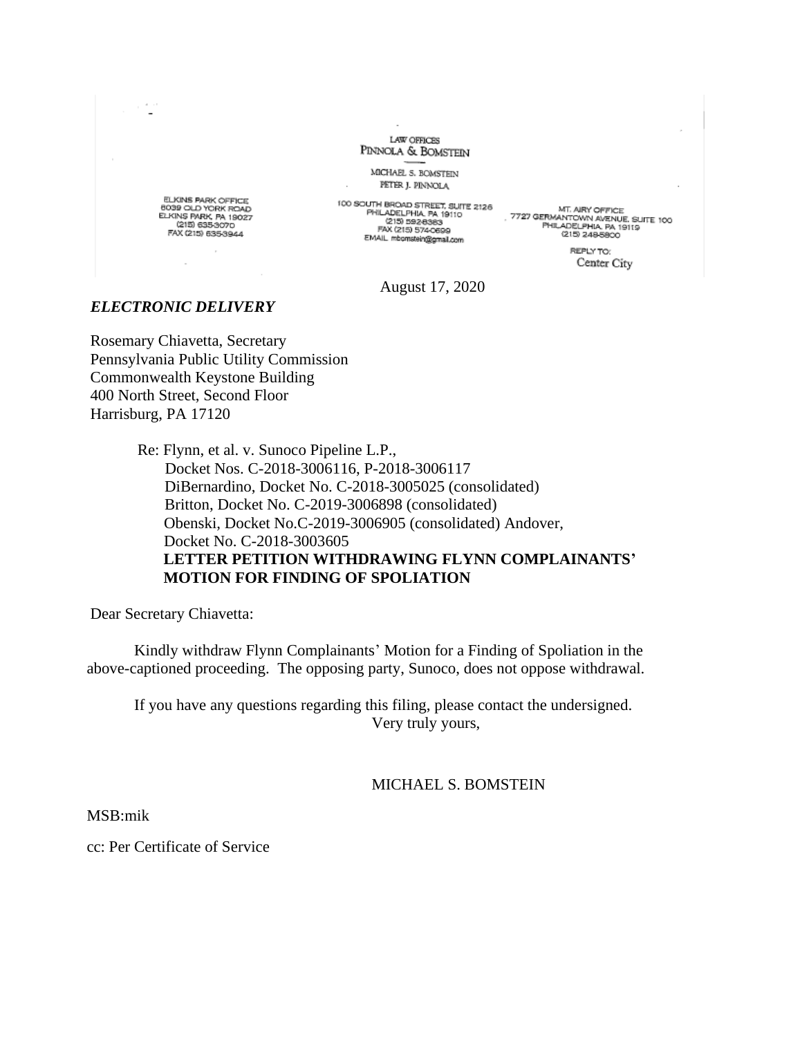

8039 OLD YORK ROAD<br>ELKINS PARK, PA 19027<br>(215) 635-3070 FAX (215) 635-3944

100 SOUTH BROAD STREET, SUITE 2126<br>PHILADELPHIA, PA 19110<br>(213) D926353<br>FAX (215) 574-0599<br>EMAIL mborissinggrial.com (215) 249-5800<br>EMAIL mborissinggrial.com (215) 249-5800<br>(215) 249-5800 EMAIL mbomstein@gmail.com

LAW OFFICES

PETER J. PINNOLA

REPLY TO: Center City

August 17, 2020

## *ELECTRONIC DELIVERY*

Rosemary Chiavetta, Secretary Pennsylvania Public Utility Commission Commonwealth Keystone Building 400 North Street, Second Floor Harrisburg, PA 17120

> Re: Flynn, et al. v. Sunoco Pipeline L.P., Docket Nos. C-2018-3006116, P-2018-3006117 DiBernardino, Docket No. C-2018-3005025 (consolidated) Britton, Docket No. C-2019-3006898 (consolidated) Obenski, Docket No.C-2019-3006905 (consolidated) Andover, Docket No. C-2018-3003605 **LETTER PETITION WITHDRAWING FLYNN COMPLAINANTS' MOTION FOR FINDING OF SPOLIATION**

Dear Secretary Chiavetta:

Kindly withdraw Flynn Complainants' Motion for a Finding of Spoliation in the above-captioned proceeding. The opposing party, Sunoco, does not oppose withdrawal.

If you have any questions regarding this filing, please contact the undersigned. Very truly yours,

MICHAEL S. BOMSTEIN

MSB:mik

cc: Per Certificate of Service